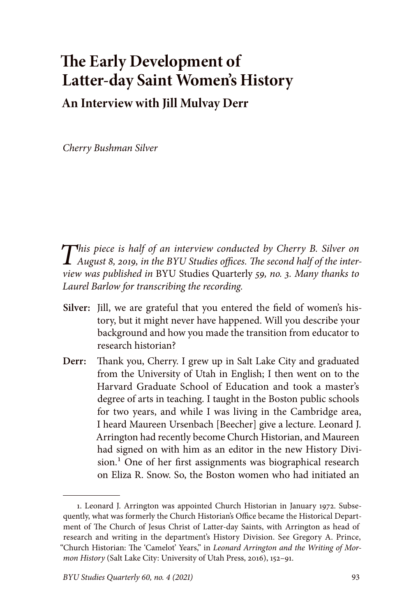## **The Early Development of Latter-day Saint Women's History An Interview with Jill Mulvay Derr**

*Cherry Bushman Silver*

*This piece is half of an interview conducted by Cherry B. Silver on August 8, 2019, in the BYU Studies offices. The second half of the interview was published in* BYU Studies Quarterly *59, no. 3. Many thanks to Laurel Barlow for transcribing the recording.*

- **Silver:** Jill, we are grateful that you entered the field of women's history, but it might never have happened. Will you describe your background and how you made the transition from educator to research historian?
- **Derr:** Thank you, Cherry. I grew up in Salt Lake City and graduated from the University of Utah in English; I then went on to the Harvard Graduate School of Education and took a master's degree of arts in teaching. I taught in the Boston public schools for two years, and while I was living in the Cambridge area, I heard Maureen Ursenbach [Beecher] give a lecture. Leonard J. Arrington had recently become Church Historian, and Maureen had signed on with him as an editor in the new History Division.<sup>1</sup> One of her first assignments was biographical research on Eliza R. Snow. So, the Boston women who had initiated an

<sup>1.</sup> Leonard J. Arrington was appointed Church Historian in January 1972. Subsequently, what was formerly the Church Historian's Office became the Historical Department of The Church of Jesus Christ of Latter-day Saints, with Arrington as head of research and writing in the department's History Division. See Gregory A. Prince, "Church Historian: The 'Camelot' Years," in *Leonard Arrington and the Writing of Mormon History* (Salt Lake City: University of Utah Press, 2016), 152–91.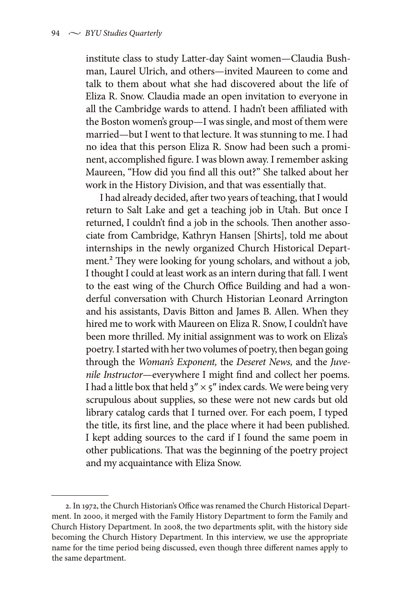institute class to study Latter-day Saint women—Claudia Bushman, Laurel Ulrich, and others—invited Maureen to come and talk to them about what she had discovered about the life of Eliza R. Snow. Claudia made an open invitation to everyone in all the Cambridge wards to attend. I hadn't been affiliated with the Boston women's group—I was single, and most of them were married—but I went to that lecture. It was stunning to me. I had no idea that this person Eliza R. Snow had been such a prominent, accomplished figure. I was blown away. I remember asking Maureen, "How did you find all this out?" She talked about her work in the History Division, and that was essentially that.

I had already decided, after two years of teaching, that I would return to Salt Lake and get a teaching job in Utah. But once I returned, I couldn't find a job in the schools. Then another associate from Cambridge, Kathryn Hansen [Shirts], told me about internships in the newly organized Church Historical Department.2 They were looking for young scholars, and without a job, I thought I could at least work as an intern during that fall. I went to the east wing of the Church Office Building and had a wonderful conversation with Church Historian Leonard Arrington and his assistants, Davis Bitton and James B. Allen. When they hired me to work with Maureen on Eliza R. Snow, I couldn't have been more thrilled. My initial assignment was to work on Eliza's poetry. I started with her two volumes of poetry, then began going through the *Woman's Exponent,* the *Deseret News,* and the *Juvenile Instructor*—everywhere I might find and collect her poems. I had a little box that held  $3'' \times 5''$  index cards. We were being very scrupulous about supplies, so these were not new cards but old library catalog cards that I turned over. For each poem, I typed the title, its first line, and the place where it had been published. I kept adding sources to the card if I found the same poem in other publications. That was the beginning of the poetry project and my acquaintance with Eliza Snow.

<sup>2.</sup> In 1972, the Church Historian's Office was renamed the Church Historical Department. In 2000, it merged with the Family History Department to form the Family and Church History Department. In 2008, the two departments split, with the history side becoming the Church History Department. In this interview, we use the appropriate name for the time period being discussed, even though three different names apply to the same department.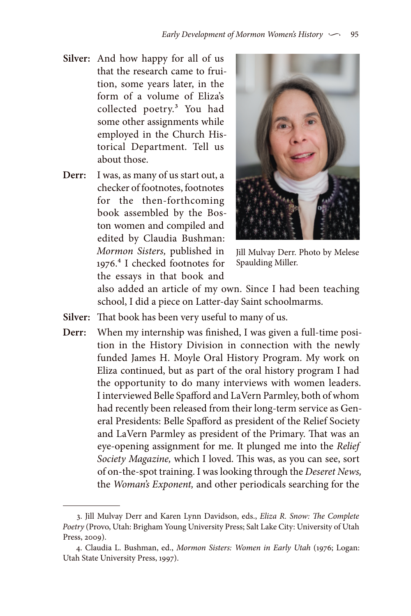- **Silver:** And how happy for all of us that the research came to fruition, some years later, in the form of a volume of Eliza's collected poetry.3 You had some other assignments while employed in the Church Historical Department. Tell us about those.
- **Derr:** I was, as many of us start out, a checker of footnotes, footnotes for the then-forthcoming book assembled by the Boston women and compiled and edited by Claudia Bushman: *Mormon Sisters,* published in 1976.4 I checked footnotes for the essays in that book and



Jill Mulvay Derr. Photo by Melese Spaulding Miller.

also added an article of my own. Since I had been teaching school, I did a piece on Latter-day Saint schoolmarms.

- **Silver:** That book has been very useful to many of us.
- **Derr:** When my internship was finished, I was given a full-time position in the History Division in connection with the newly funded James H. Moyle Oral History Program. My work on Eliza continued, but as part of the oral history program I had the opportunity to do many interviews with women leaders. I interviewed Belle Spafford and LaVern Parmley, both of whom had recently been released from their long-term service as General Presidents: Belle Spafford as president of the Relief Society and LaVern Parmley as president of the Primary. That was an eye-opening assignment for me. It plunged me into the *Relief Society Magazine,* which I loved. This was, as you can see, sort of on-the-spot training. I was looking through the *Deseret News,*  the *Woman's Exponent,* and other periodicals searching for the

<sup>3.</sup> Jill Mulvay Derr and Karen Lynn Davidson, eds., *Eliza R. Snow: The Complete Poetry* (Provo, Utah: Brigham Young University Press; Salt Lake City: University of Utah Press, 2009).

<sup>4.</sup> Claudia L. Bushman, ed., *Mormon Sisters: Women in Early Utah* (1976; Logan: Utah State University Press, 1997).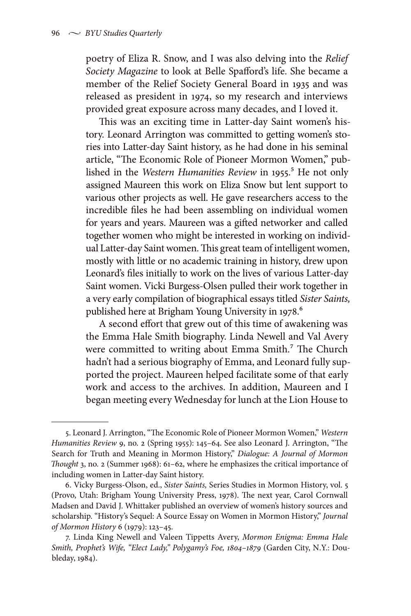poetry of Eliza R. Snow, and I was also delving into the *Relief Society Magazine* to look at Belle Spafford's life. She became a member of the Relief Society General Board in 1935 and was released as president in 1974, so my research and interviews provided great exposure across many decades, and I loved it.

This was an exciting time in Latter-day Saint women's history. Leonard Arrington was committed to getting women's stories into Latter-day Saint history, as he had done in his seminal article, "The Economic Role of Pioneer Mormon Women," published in the *Western Humanities Review* in 1955.<sup>5</sup> He not only assigned Maureen this work on Eliza Snow but lent support to various other projects as well. He gave researchers access to the incredible files he had been assembling on individual women for years and years. Maureen was a gifted networker and called together women who might be interested in working on individual Latter-day Saint women. This great team of intelligent women, mostly with little or no academic training in history, drew upon Leonard's files initially to work on the lives of various Latter-day Saint women. Vicki Burgess-Olsen pulled their work together in a very early compilation of biographical essays titled *Sister Saints,* published here at Brigham Young University in 1978.<sup>6</sup>

A second effort that grew out of this time of awakening was the Emma Hale Smith biography. Linda Newell and Val Avery were committed to writing about Emma Smith.<sup>7</sup> The Church hadn't had a serious biography of Emma, and Leonard fully supported the project. Maureen helped facilitate some of that early work and access to the archives. In addition, Maureen and I began meeting every Wednesday for lunch at the Lion House to

<sup>5.</sup> Leonard J. Arrington, "The Economic Role of Pioneer Mormon Women," *Western Humanities Review* 9, no. 2 (Spring 1955): 145–64. See also Leonard J. Arrington, "The Search for Truth and Meaning in Mormon History," *Dialogue: A Journal of Mormon Thought* 3, no. 2 (Summer 1968): 61–62, where he emphasizes the critical importance of including women in Latter-day Saint history.

<sup>6.</sup> Vicky Burgess-Olson, ed., *Sister Saints,* Series Studies in Mormon History, vol. 5 (Provo, Utah: Brigham Young University Press, 1978). The next year, Carol Cornwall Madsen and David J. Whittaker published an overview of women's history sources and scholarship. "History's Sequel: A Source Essay on Women in Mormon History," *Journal of Mormon History* 6 (1979): 123–45.

<sup>7.</sup> Linda King Newell and Valeen Tippetts Avery, *Mormon Enigma: Emma Hale Smith, Prophet's Wife, "Elect Lady," Polygamy's Foe, 1804–1879* (Garden City, N.Y.: Doubleday, 1984).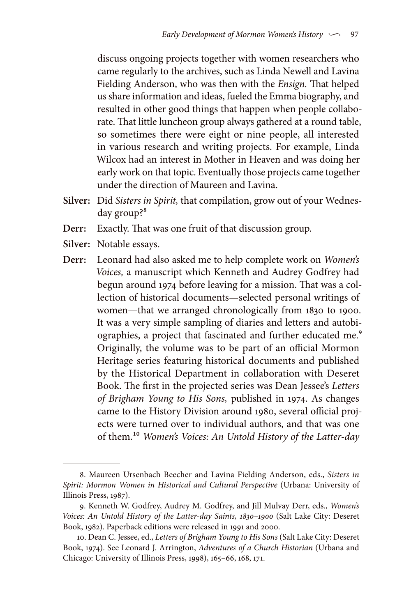discuss ongoing projects together with women researchers who came regularly to the archives, such as Linda Newell and Lavina Fielding Anderson, who was then with the *Ensign.* That helped us share information and ideas, fueled the Emma biography, and resulted in other good things that happen when people collaborate. That little luncheon group always gathered at a round table, so sometimes there were eight or nine people, all interested in various research and writing projects. For example, Linda Wilcox had an interest in Mother in Heaven and was doing her early work on that topic. Eventually those projects came together under the direction of Maureen and Lavina.

- **Silver:** Did *Sisters in Spirit,* that compilation, grow out of your Wednesday group?<sup>8</sup>
- **Derr:** Exactly. That was one fruit of that discussion group.
- **Silver:** Notable essays.
- **Derr:** Leonard had also asked me to help complete work on *Women's Voices,* a manuscript which Kenneth and Audrey Godfrey had begun around 1974 before leaving for a mission. That was a collection of historical documents—selected personal writings of women—that we arranged chronologically from 1830 to 1900. It was a very simple sampling of diaries and letters and autobiographies, a project that fascinated and further educated me.<sup>9</sup> Originally, the volume was to be part of an official Mormon Heritage series featuring historical documents and published by the Historical Department in collaboration with Deseret Book. The first in the projected series was Dean Jessee's *Letters of Brigham Young to His Sons,* published in 1974. As changes came to the History Division around 1980, several official projects were turned over to individual authors, and that was one of them.10 *Women's Voices: An Untold History of the Latter-day*

<sup>8.</sup> Maureen Ursenbach Beecher and Lavina Fielding Anderson, eds., *Sisters in Spirit: Mormon Women in Historical and Cultural Perspective* (Urbana: University of Illinois Press, 1987).

<sup>9.</sup> Kenneth W. Godfrey, Audrey M. Godfrey, and Jill Mulvay Derr, eds., *Women's Voices: An Untold History of the Latter-day Saints, 1830–1900* (Salt Lake City: Deseret Book, 1982). Paperback editions were released in 1991 and 2000.

<sup>10.</sup> Dean C. Jessee, ed., *Letters of Brigham Young to His Sons* (Salt Lake City: Deseret Book, 1974). See Leonard J. Arrington, *Adventures of a Church Historian* (Urbana and Chicago: University of Illinois Press, 1998), 165–66, 168, 171.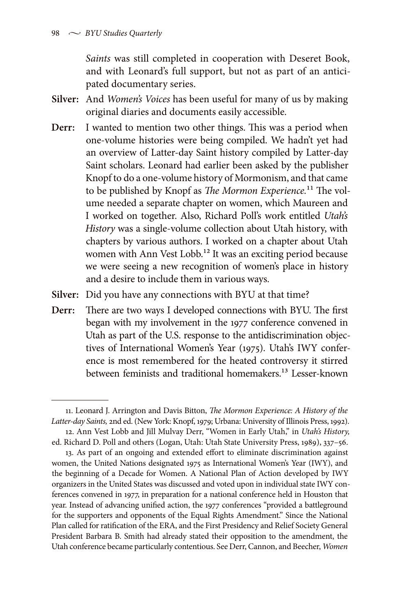*Saints* was still completed in cooperation with Deseret Book, and with Leonard's full support, but not as part of an anticipated documentary series.

- **Silver:** And *Women's Voices* has been useful for many of us by making original diaries and documents easily accessible.
- **Derr:** I wanted to mention two other things. This was a period when one-volume histories were being compiled. We hadn't yet had an overview of Latter-day Saint history compiled by Latter-day Saint scholars. Leonard had earlier been asked by the publisher Knopf to do a one-volume history of Mormonism, and that came to be published by Knopf as *The Mormon Experience.*11 The volume needed a separate chapter on women, which Maureen and I worked on together. Also, Richard Poll's work entitled *Utah's History* was a single-volume collection about Utah history, with chapters by various authors. I worked on a chapter about Utah women with Ann Vest Lobb.<sup>12</sup> It was an exciting period because we were seeing a new recognition of women's place in history and a desire to include them in various ways.
- **Silver:** Did you have any connections with BYU at that time?
- **Derr:** There are two ways I developed connections with BYU. The first began with my involvement in the 1977 conference convened in Utah as part of the U.S. response to the antidiscrimination objectives of International Women's Year (1975). Utah's IWY conference is most remembered for the heated controversy it stirred between feminists and traditional homemakers.<sup>13</sup> Lesser-known

<sup>11.</sup> Leonard J. Arrington and Davis Bitton, *The Mormon Experience: A History of the Latter-day Saints,* 2nd ed. (New York: Knopf, 1979; Urbana: University of Illinois Press, 1992).

<sup>12.</sup> Ann Vest Lobb and Jill Mulvay Derr, "Women in Early Utah," in *Utah's History*, ed. Richard D. Poll and others (Logan, Utah: Utah State University Press, 1989), 337–56.

<sup>13.</sup> As part of an ongoing and extended effort to eliminate discrimination against women, the United Nations designated 1975 as International Women's Year (IWY), and the beginning of a Decade for Women. A National Plan of Action developed by IWY organizers in the United States was discussed and voted upon in individual state IWY conferences convened in 1977, in preparation for a national conference held in Houston that year. Instead of advancing unified action, the 1977 conferences "provided a battleground for the supporters and opponents of the Equal Rights Amendment." Since the National Plan called for ratification of the ERA, and the First Presidency and Relief Society General President Barbara B. Smith had already stated their opposition to the amendment, the Utah conference became particularly contentious. See Derr, Cannon, and Beecher, *Women*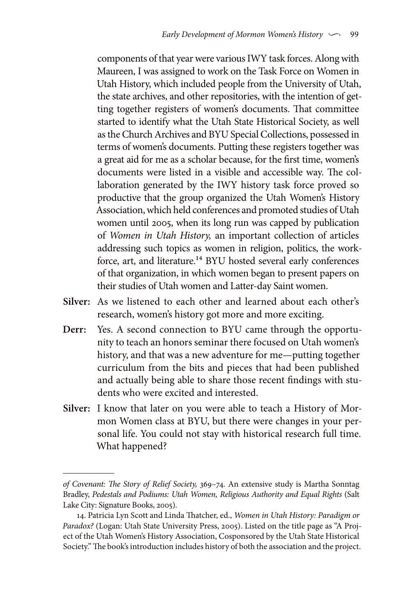components of that year were various IWY task forces. Along with Maureen, I was assigned to work on the Task Force on Women in Utah History, which included people from the University of Utah, the state archives, and other repositories, with the intention of getting together registers of women's documents. That committee started to identify what the Utah State Historical Society, as well as the Church Archives and BYU Special Collections, possessed in terms of women's documents. Putting these registers together was a great aid for me as a scholar because, for the first time, women's documents were listed in a visible and accessible way. The collaboration generated by the IWY history task force proved so productive that the group organized the Utah Women's History Association, which held conferences and promoted studies of Utah women until 2005, when its long run was capped by publication of *Women in Utah History,* an important collection of articles addressing such topics as women in religion, politics, the workforce, art, and literature.<sup>14</sup> BYU hosted several early conferences of that organization, in which women began to present papers on their studies of Utah women and Latter-day Saint women.

- **Silver:** As we listened to each other and learned about each other's research, women's history got more and more exciting.
- **Derr:** Yes. A second connection to BYU came through the opportunity to teach an honors seminar there focused on Utah women's history, and that was a new adventure for me—putting together curriculum from the bits and pieces that had been published and actually being able to share those recent findings with students who were excited and interested.
- **Silver:** I know that later on you were able to teach a History of Mormon Women class at BYU, but there were changes in your personal life. You could not stay with historical research full time. What happened?

*of Covenant: The Story of Relief Society,* 369–74. An extensive study is Martha Sonntag Bradley, *Pedestals and Podiums: Utah Women, Religious Authority and Equal Rights* (Salt Lake City: Signature Books, 2005).

<sup>14.</sup> Patricia Lyn Scott and Linda Thatcher, ed., *Women in Utah History: Paradigm or Paradox?* (Logan: Utah State University Press, 2005). Listed on the title page as "A Project of the Utah Women's History Association, Cosponsored by the Utah State Historical Society." The book's introduction includes history of both the association and the project.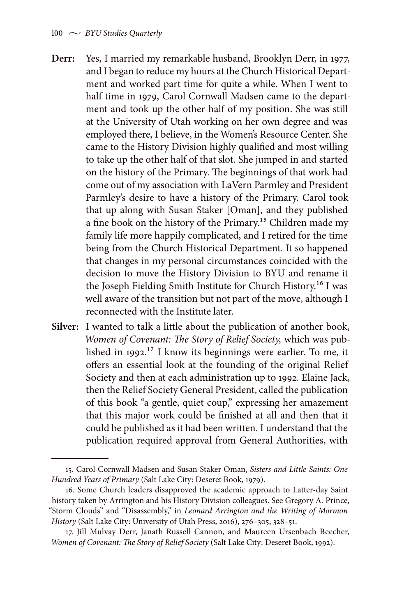- **Derr:** Yes, I married my remarkable husband, Brooklyn Derr, in 1977, and I began to reduce my hours at the Church Historical Department and worked part time for quite a while. When I went to half time in 1979, Carol Cornwall Madsen came to the department and took up the other half of my position. She was still at the University of Utah working on her own degree and was employed there, I believe, in the Women's Resource Center. She came to the History Division highly qualified and most willing to take up the other half of that slot. She jumped in and started on the history of the Primary. The beginnings of that work had come out of my association with LaVern Parmley and President Parmley's desire to have a history of the Primary. Carol took that up along with Susan Staker [Oman], and they published a fine book on the history of the Primary.15 Children made my family life more happily complicated, and I retired for the time being from the Church Historical Department. It so happened that changes in my personal circumstances coincided with the decision to move the History Division to BYU and rename it the Joseph Fielding Smith Institute for Church History.<sup>16</sup> I was well aware of the transition but not part of the move, although I reconnected with the Institute later.
- **Silver:** I wanted to talk a little about the publication of another book, *Women of Covenant: The Story of Relief Society,* which was published in 1992.17 I know its beginnings were earlier. To me, it offers an essential look at the founding of the original Relief Society and then at each administration up to 1992. Elaine Jack, then the Relief Society General President, called the publication of this book "a gentle, quiet coup," expressing her amazement that this major work could be finished at all and then that it could be published as it had been written. I understand that the publication required approval from General Authorities, with

<sup>15.</sup> Carol Cornwall Madsen and Susan Staker Oman, *Sisters and Little Saints: One Hundred Years of Primary* (Salt Lake City: Deseret Book, 1979).

<sup>16.</sup> Some Church leaders disapproved the academic approach to Latter-day Saint history taken by Arrington and his History Division colleagues. See Gregory A. Prince, "Storm Clouds" and "Disassembly," in *Leonard Arrington and the Writing of Mormon History* (Salt Lake City: University of Utah Press, 2016), 276–305, 328–51.

<sup>17.</sup> Jill Mulvay Derr, Janath Russell Cannon, and Maureen Ursenbach Beecher, *Women of Covenant: The Story of Relief Society* (Salt Lake City: Deseret Book, 1992).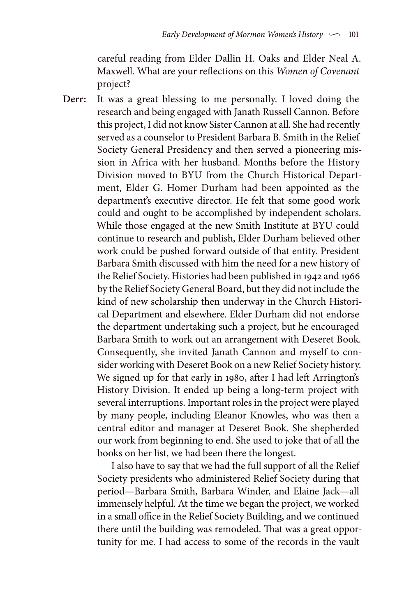careful reading from Elder Dallin H. Oaks and Elder Neal A. Maxwell. What are your reflections on this *Women of Covenant* project?

**Derr:** It was a great blessing to me personally. I loved doing the research and being engaged with Janath Russell Cannon. Before this project, I did not know Sister Cannon at all. She had recently served as a counselor to President Barbara B. Smith in the Relief Society General Presidency and then served a pioneering mission in Africa with her husband. Months before the History Division moved to BYU from the Church Historical Department, Elder G. Homer Durham had been appointed as the department's executive director. He felt that some good work could and ought to be accomplished by independent scholars. While those engaged at the new Smith Institute at BYU could continue to research and publish, Elder Durham believed other work could be pushed forward outside of that entity. President Barbara Smith discussed with him the need for a new history of the Relief Society. Histories had been published in 1942 and 1966 by the Relief Society General Board, but they did not include the kind of new scholarship then underway in the Church Historical Department and elsewhere. Elder Durham did not endorse the department undertaking such a project, but he encouraged Barbara Smith to work out an arrangement with Deseret Book. Consequently, she invited Janath Cannon and myself to consider working with Deseret Book on a new Relief Society history. We signed up for that early in 1980, after I had left Arrington's History Division. It ended up being a long-term project with several interruptions. Important roles in the project were played by many people, including Eleanor Knowles, who was then a central editor and manager at Deseret Book. She shepherded our work from beginning to end. She used to joke that of all the books on her list, we had been there the longest.

> I also have to say that we had the full support of all the Relief Society presidents who administered Relief Society during that period—Barbara Smith, Barbara Winder, and Elaine Jack—all immensely helpful. At the time we began the project, we worked in a small office in the Relief Society Building, and we continued there until the building was remodeled. That was a great opportunity for me. I had access to some of the records in the vault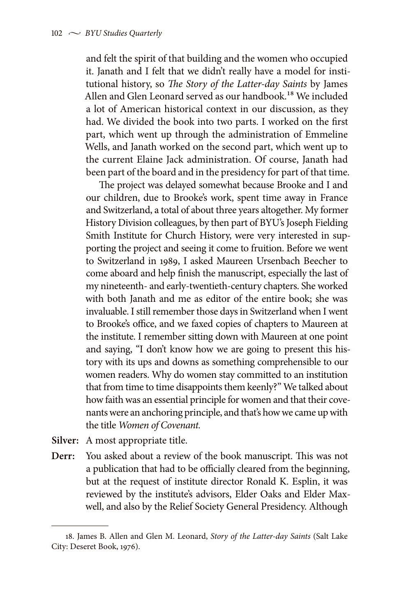and felt the spirit of that building and the women who occupied it. Janath and I felt that we didn't really have a model for institutional history, so *The Story of the Latter-day Saints* by James Allen and Glen Leonard served as our handbook.<sup>18</sup> We included a lot of American historical context in our discussion, as they had. We divided the book into two parts. I worked on the first part, which went up through the administration of Emmeline Wells, and Janath worked on the second part, which went up to the current Elaine Jack administration. Of course, Janath had been part of the board and in the presidency for part of that time.

The project was delayed somewhat because Brooke and I and our children, due to Brooke's work, spent time away in France and Switzerland, a total of about three years altogether. My former History Division colleagues, by then part of BYU's Joseph Fielding Smith Institute for Church History, were very interested in supporting the project and seeing it come to fruition. Before we went to Switzerland in 1989, I asked Maureen Ursenbach Beecher to come aboard and help finish the manuscript, especially the last of my nineteenth- and early-twentieth-century chapters. She worked with both Janath and me as editor of the entire book; she was invaluable. I still remember those days in Switzerland when I went to Brooke's office, and we faxed copies of chapters to Maureen at the institute. I remember sitting down with Maureen at one point and saying, "I don't know how we are going to present this history with its ups and downs as something comprehensible to our women readers. Why do women stay committed to an institution that from time to time disappoints them keenly?" We talked about how faith was an essential principle for women and that their covenants were an anchoring principle, and that's how we came up with the title *Women of Covenant.*

- **Silver:** A most appropriate title.
- **Derr:** You asked about a review of the book manuscript. This was not a publication that had to be officially cleared from the beginning, but at the request of institute director Ronald K. Esplin, it was reviewed by the institute's advisors, Elder Oaks and Elder Maxwell, and also by the Relief Society General Presidency. Although

<sup>18.</sup> James B. Allen and Glen M. Leonard, *Story of the Latter-day Saints* (Salt Lake City: Deseret Book, 1976).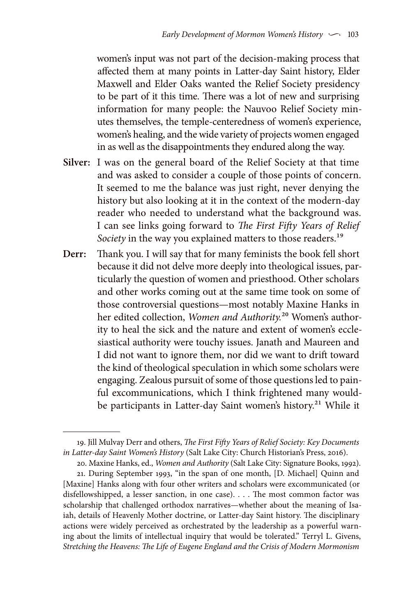women's input was not part of the decision-making process that affected them at many points in Latter-day Saint history, Elder Maxwell and Elder Oaks wanted the Relief Society presidency to be part of it this time. There was a lot of new and surprising information for many people: the Nauvoo Relief Society minutes themselves, the temple-centeredness of women's experience, women's healing, and the wide variety of projects women engaged in as well as the disappointments they endured along the way.

- **Silver:** I was on the general board of the Relief Society at that time and was asked to consider a couple of those points of concern. It seemed to me the balance was just right, never denying the history but also looking at it in the context of the modern-day reader who needed to understand what the background was. I can see links going forward to *The First Fifty Years of Relief*  Society in the way you explained matters to those readers.<sup>19</sup>
- **Derr:** Thank you. I will say that for many feminists the book fell short because it did not delve more deeply into theological issues, particularly the question of women and priesthood. Other scholars and other works coming out at the same time took on some of those controversial questions—most notably Maxine Hanks in her edited collection, *Women and Authority.*20 Women's authority to heal the sick and the nature and extent of women's ecclesiastical authority were touchy issues. Janath and Maureen and I did not want to ignore them, nor did we want to drift toward the kind of theological speculation in which some scholars were engaging. Zealous pursuit of some of those questions led to painful excommunications, which I think frightened many wouldbe participants in Latter-day Saint women's history.<sup>21</sup> While it

<sup>19.</sup> Jill Mulvay Derr and others, *The First Fifty Years of Relief Society: Key Documents in Latter-day Saint Women's History* (Salt Lake City: Church Historian's Press, 2016).

<sup>20.</sup> Maxine Hanks, ed., *Women and Authority* (Salt Lake City: Signature Books, 1992).

<sup>21.</sup> During September 1993, "in the span of one month, [D. Michael] Quinn and [Maxine] Hanks along with four other writers and scholars were excommunicated (or disfellowshipped, a lesser sanction, in one case). . . . The most common factor was scholarship that challenged orthodox narratives—whether about the meaning of Isaiah, details of Heavenly Mother doctrine, or Latter-day Saint history. The disciplinary actions were widely perceived as orchestrated by the leadership as a powerful warning about the limits of intellectual inquiry that would be tolerated." Terryl L. Givens, *Stretching the Heavens: The Life of Eugene England and the Crisis of Modern Mormonism*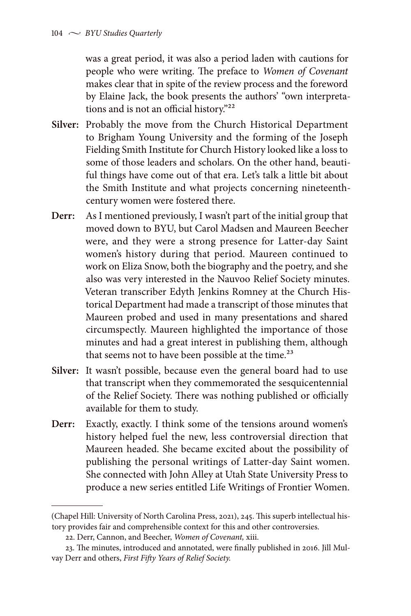was a great period, it was also a period laden with cautions for people who were writing. The preface to *Women of Covenant* makes clear that in spite of the review process and the foreword by Elaine Jack, the book presents the authors' "own interpretations and is not an official history."22

- **Silver:** Probably the move from the Church Historical Department to Brigham Young University and the forming of the Joseph Fielding Smith Institute for Church History looked like a loss to some of those leaders and scholars. On the other hand, beautiful things have come out of that era. Let's talk a little bit about the Smith Institute and what projects concerning nineteenthcentury women were fostered there.
- **Derr:** As I mentioned previously, I wasn't part of the initial group that moved down to BYU, but Carol Madsen and Maureen Beecher were, and they were a strong presence for Latter-day Saint women's history during that period. Maureen continued to work on Eliza Snow, both the biography and the poetry, and she also was very interested in the Nauvoo Relief Society minutes. Veteran transcriber Edyth Jenkins Romney at the Church Historical Department had made a transcript of those minutes that Maureen probed and used in many presentations and shared circumspectly. Maureen highlighted the importance of those minutes and had a great interest in publishing them, although that seems not to have been possible at the time.<sup>23</sup>
- **Silver:** It wasn't possible, because even the general board had to use that transcript when they commemorated the sesquicentennial of the Relief Society. There was nothing published or officially available for them to study.
- **Derr:** Exactly, exactly. I think some of the tensions around women's history helped fuel the new, less controversial direction that Maureen headed. She became excited about the possibility of publishing the personal writings of Latter-day Saint women. She connected with John Alley at Utah State University Press to produce a new series entitled Life Writings of Frontier Women.

<sup>(</sup>Chapel Hill: University of North Carolina Press, 2021), 245. This superb intellectual history provides fair and comprehensible context for this and other controversies.

<sup>22.</sup> Derr, Cannon, and Beecher, *Women of Covenant,* xiii.

<sup>23.</sup> The minutes, introduced and annotated, were finally published in 2016. Jill Mulvay Derr and others, *First Fifty Years of Relief Society.*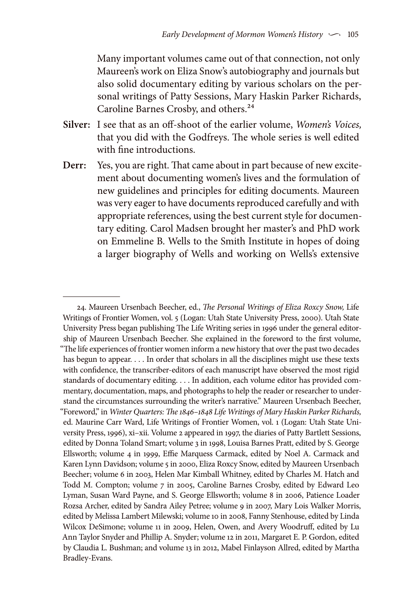Many important volumes came out of that connection, not only Maureen's work on Eliza Snow's autobiography and journals but also solid documentary editing by various scholars on the personal writings of Patty Sessions, Mary Haskin Parker Richards, Caroline Barnes Crosby, and others.<sup>24</sup>

- **Silver:** I see that as an off-shoot of the earlier volume, *Women's Voices,* that you did with the Godfreys. The whole series is well edited with fine introductions.
- **Derr:** Yes, you are right. That came about in part because of new excitement about documenting women's lives and the formulation of new guidelines and principles for editing documents. Maureen was very eager to have documents reproduced carefully and with appropriate references, using the best current style for documentary editing. Carol Madsen brought her master's and PhD work on Emmeline B. Wells to the Smith Institute in hopes of doing a larger biography of Wells and working on Wells's extensive

<sup>24.</sup> Maureen Ursenbach Beecher, ed., *The Personal Writings of Eliza Roxcy Snow,* Life Writings of Frontier Women, vol. 5 (Logan: Utah State University Press, 2000). Utah State University Press began publishing The Life Writing series in 1996 under the general editorship of Maureen Ursenbach Beecher. She explained in the foreword to the first volume, "The life experiences of frontier women inform a new history that over the past two decades has begun to appear. . . . In order that scholars in all the disciplines might use these texts with confidence, the transcriber-editors of each manuscript have observed the most rigid standards of documentary editing. . . . In addition, each volume editor has provided commentary, documentation, maps, and photographs to help the reader or researcher to understand the circumstances surrounding the writer's narrative." Maureen Ursenbach Beecher, "Foreword," in *Winter Quarters: The 1846–1848 Life Writings of Mary Haskin Parker Richards,*  ed. Maurine Carr Ward, Life Writings of Frontier Women, vol. 1 (Logan: Utah State University Press, 1996), xi–xii. Volume 2 appeared in 1997, the diaries of Patty Bartlett Sessions, edited by Donna Toland Smart; volume 3 in 1998, Louisa Barnes Pratt, edited by S. George Ellsworth; volume 4 in 1999, Effie Marquess Carmack, edited by Noel A. Carmack and Karen Lynn Davidson; volume 5 in 2000, Eliza Roxcy Snow, edited by Maureen Ursenbach Beecher; volume 6 in 2003, Helen Mar Kimball Whitney, edited by Charles M. Hatch and Todd M. Compton; volume 7 in 2005, Caroline Barnes Crosby, edited by Edward Leo Lyman, Susan Ward Payne, and S. George Ellsworth; volume 8 in 2006, Patience Loader Rozsa Archer, edited by Sandra Ailey Petree; volume 9 in 2007, Mary Lois Walker Morris, edited by Melissa Lambert Milewski; volume 10 in 2008, Fanny Stenhouse, edited by Linda Wilcox DeSimone; volume 11 in 2009, Helen, Owen, and Avery Woodruff, edited by Lu Ann Taylor Snyder and Phillip A. Snyder; volume 12 in 2011, Margaret E. P. Gordon, edited by Claudia L. Bushman; and volume 13 in 2012, Mabel Finlayson Allred, edited by Martha Bradley-Evans.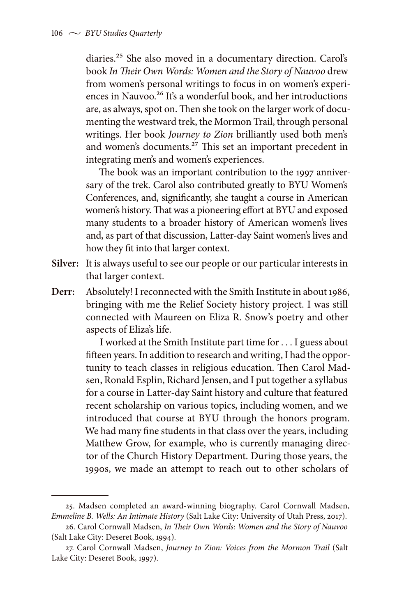diaries.25 She also moved in a documentary direction. Carol's book *In Their Own Words: Women and the Story of Nauvoo* drew from women's personal writings to focus in on women's experiences in Nauvoo.<sup>26</sup> It's a wonderful book, and her introductions are, as always, spot on. Then she took on the larger work of documenting the westward trek, the Mormon Trail, through personal writings. Her book *Journey to Zion* brilliantly used both men's and women's documents.27 This set an important precedent in integrating men's and women's experiences.

The book was an important contribution to the 1997 anniversary of the trek. Carol also contributed greatly to BYU Women's Conferences, and, significantly, she taught a course in American women's history. That was a pioneering effort at BYU and exposed many students to a broader history of American women's lives and, as part of that discussion, Latter-day Saint women's lives and how they fit into that larger context.

- **Silver:** It is always useful to see our people or our particular interests in that larger context.
- **Derr:** Absolutely! I reconnected with the Smith Institute in about 1986, bringing with me the Relief Society history project. I was still connected with Maureen on Eliza R. Snow's poetry and other aspects of Eliza's life.

I worked at the Smith Institute part time for . . . I guess about fifteen years. In addition to research and writing, I had the opportunity to teach classes in religious education. Then Carol Madsen, Ronald Esplin, Richard Jensen, and I put together a syllabus for a course in Latter-day Saint history and culture that featured recent scholarship on various topics, including women, and we introduced that course at BYU through the honors program. We had many fine students in that class over the years, including Matthew Grow, for example, who is currently managing director of the Church History Department. During those years, the 1990s, we made an attempt to reach out to other scholars of

<sup>25.</sup> Madsen completed an award-winning biography. Carol Cornwall Madsen, *Emmeline B. Wells: An Intimate History* (Salt Lake City: University of Utah Press, 2017).

<sup>26.</sup> Carol Cornwall Madsen, *In Their Own Words: Women and the Story of Nauvoo*  (Salt Lake City: Deseret Book, 1994).

<sup>27.</sup> Carol Cornwall Madsen, *Journey to Zion: Voices from the Mormon Trail* (Salt Lake City: Deseret Book, 1997).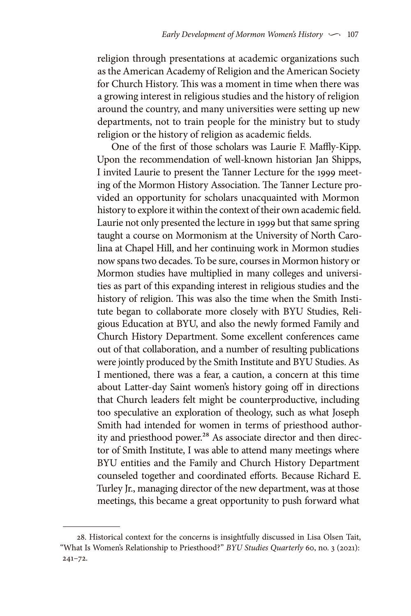religion through presentations at academic organizations such as the American Academy of Religion and the American Society for Church History. This was a moment in time when there was a growing interest in religious studies and the history of religion around the country, and many universities were setting up new departments, not to train people for the ministry but to study religion or the history of religion as academic fields.

One of the first of those scholars was Laurie F. Maffly-Kipp. Upon the recommendation of well-known historian Jan Shipps, I invited Laurie to present the Tanner Lecture for the 1999 meeting of the Mormon History Association. The Tanner Lecture provided an opportunity for scholars unacquainted with Mormon history to explore it within the context of their own academic field. Laurie not only presented the lecture in 1999 but that same spring taught a course on Mormonism at the University of North Carolina at Chapel Hill, and her continuing work in Mormon studies now spans two decades. To be sure, courses in Mormon history or Mormon studies have multiplied in many colleges and universities as part of this expanding interest in religious studies and the history of religion. This was also the time when the Smith Institute began to collaborate more closely with BYU Studies, Religious Education at BYU, and also the newly formed Family and Church History Department. Some excellent conferences came out of that collaboration, and a number of resulting publications were jointly produced by the Smith Institute and BYU Studies. As I mentioned, there was a fear, a caution, a concern at this time about Latter-day Saint women's history going off in directions that Church leaders felt might be counterproductive, including too speculative an exploration of theology, such as what Joseph Smith had intended for women in terms of priesthood authority and priesthood power.<sup>28</sup> As associate director and then director of Smith Institute, I was able to attend many meetings where BYU entities and the Family and Church History Department counseled together and coordinated efforts. Because Richard E. Turley Jr., managing director of the new department, was at those meetings, this became a great opportunity to push forward what

<sup>28.</sup> Historical context for the concerns is insightfully discussed in Lisa Olsen Tait, "What Is Women's Relationship to Priesthood?" *BYU Studies Quarterly* 60, no. 3 (2021): 241–72.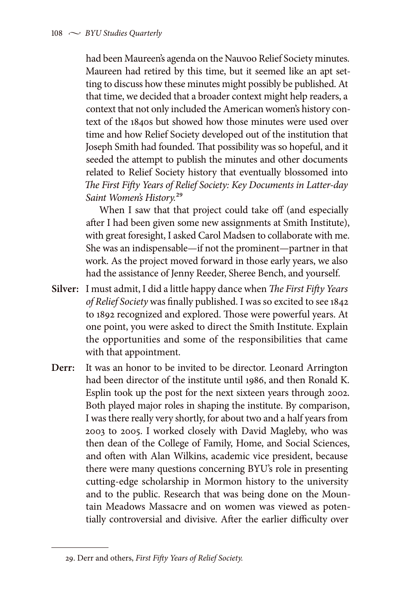had been Maureen's agenda on the Nauvoo Relief Society minutes. Maureen had retired by this time, but it seemed like an apt setting to discuss how these minutes might possibly be published. At that time, we decided that a broader context might help readers, a context that not only included the American women's history context of the 1840s but showed how those minutes were used over time and how Relief Society developed out of the institution that Joseph Smith had founded. That possibility was so hopeful, and it seeded the attempt to publish the minutes and other documents related to Relief Society history that eventually blossomed into *The First Fifty Years of Relief Society: Key Documents in Latter-day Saint Women's History.*29

When I saw that that project could take off (and especially after I had been given some new assignments at Smith Institute), with great foresight, I asked Carol Madsen to collaborate with me. She was an indispensable—if not the prominent—partner in that work. As the project moved forward in those early years, we also had the assistance of Jenny Reeder, Sheree Bench, and yourself.

- **Silver:** I must admit, I did a little happy dance when *The First Fifty Years of Relief Society* was finally published. I was so excited to see 1842 to 1892 recognized and explored. Those were powerful years. At one point, you were asked to direct the Smith Institute. Explain the opportunities and some of the responsibilities that came with that appointment.
- **Derr:** It was an honor to be invited to be director. Leonard Arrington had been director of the institute until 1986, and then Ronald K. Esplin took up the post for the next sixteen years through 2002. Both played major roles in shaping the institute. By comparison, I was there really very shortly, for about two and a half years from 2003 to 2005. I worked closely with David Magleby, who was then dean of the College of Family, Home, and Social Sciences, and often with Alan Wilkins, academic vice president, because there were many questions concerning BYU's role in presenting cutting-edge scholarship in Mormon history to the university and to the public. Research that was being done on the Mountain Meadows Massacre and on women was viewed as potentially controversial and divisive. After the earlier difficulty over

<sup>29.</sup> Derr and others, *First Fifty Years of Relief Society.*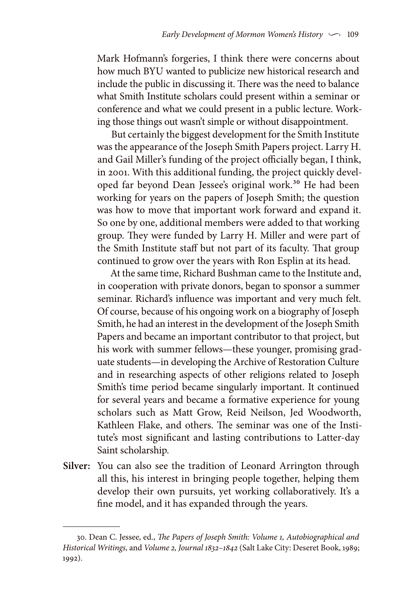Mark Hofmann's forgeries, I think there were concerns about how much BYU wanted to publicize new historical research and include the public in discussing it. There was the need to balance what Smith Institute scholars could present within a seminar or conference and what we could present in a public lecture. Working those things out wasn't simple or without disappointment.

But certainly the biggest development for the Smith Institute was the appearance of the Joseph Smith Papers project. Larry H. and Gail Miller's funding of the project officially began, I think, in 2001. With this additional funding, the project quickly developed far beyond Dean Jessee's original work.<sup>30</sup> He had been working for years on the papers of Joseph Smith; the question was how to move that important work forward and expand it. So one by one, additional members were added to that working group. They were funded by Larry H. Miller and were part of the Smith Institute staff but not part of its faculty. That group continued to grow over the years with Ron Esplin at its head.

At the same time, Richard Bushman came to the Institute and, in cooperation with private donors, began to sponsor a summer seminar. Richard's influence was important and very much felt. Of course, because of his ongoing work on a biography of Joseph Smith, he had an interest in the development of the Joseph Smith Papers and became an important contributor to that project, but his work with summer fellows—these younger, promising graduate students—in developing the Archive of Restoration Culture and in researching aspects of other religions related to Joseph Smith's time period became singularly important. It continued for several years and became a formative experience for young scholars such as Matt Grow, Reid Neilson, Jed Woodworth, Kathleen Flake, and others. The seminar was one of the Institute's most significant and lasting contributions to Latter-day Saint scholarship.

**Silver:** You can also see the tradition of Leonard Arrington through all this, his interest in bringing people together, helping them develop their own pursuits, yet working collaboratively. It's a fine model, and it has expanded through the years.

<sup>30.</sup> Dean C. Jessee, ed., *The Papers of Joseph Smith: Volume 1, Autobiographical and Historical Writings,* and *Volume 2, Journal 1832–1842* (Salt Lake City: Deseret Book, 1989; 1992).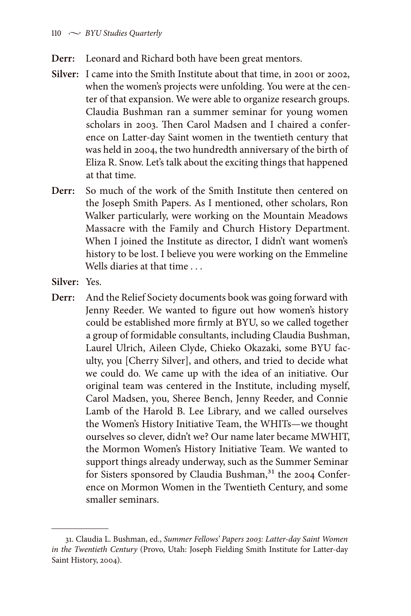- **Derr:** Leonard and Richard both have been great mentors.
- **Silver:** I came into the Smith Institute about that time, in 2001 or 2002, when the women's projects were unfolding. You were at the center of that expansion. We were able to organize research groups. Claudia Bushman ran a summer seminar for young women scholars in 2003. Then Carol Madsen and I chaired a conference on Latter-day Saint women in the twentieth century that was held in 2004, the two hundredth anniversary of the birth of Eliza R. Snow. Let's talk about the exciting things that happened at that time.
- **Derr:** So much of the work of the Smith Institute then centered on the Joseph Smith Papers. As I mentioned, other scholars, Ron Walker particularly, were working on the Mountain Meadows Massacre with the Family and Church History Department. When I joined the Institute as director, I didn't want women's history to be lost. I believe you were working on the Emmeline Wells diaries at that time . . .
- **Silver:** Yes.
- **Derr:** And the Relief Society documents book was going forward with Jenny Reeder. We wanted to figure out how women's history could be established more firmly at BYU, so we called together a group of formidable consultants, including Claudia Bushman, Laurel Ulrich, Aileen Clyde, Chieko Okazaki, some BYU faculty, you [Cherry Silver], and others, and tried to decide what we could do. We came up with the idea of an initiative. Our original team was centered in the Institute, including myself, Carol Madsen, you, Sheree Bench, Jenny Reeder, and Connie Lamb of the Harold B. Lee Library, and we called ourselves the Women's History Initiative Team, the WHITs—we thought ourselves so clever, didn't we? Our name later became MWHIT, the Mormon Women's History Initiative Team. We wanted to support things already underway, such as the Summer Seminar for Sisters sponsored by Claudia Bushman,<sup>31</sup> the 2004 Conference on Mormon Women in the Twentieth Century, and some smaller seminars.

<sup>31.</sup> Claudia L. Bushman, ed., *Summer Fellows' Papers 2003: Latter-day Saint Women in the Twentieth Century* (Provo, Utah: Joseph Fielding Smith Institute for Latter-day Saint History, 2004).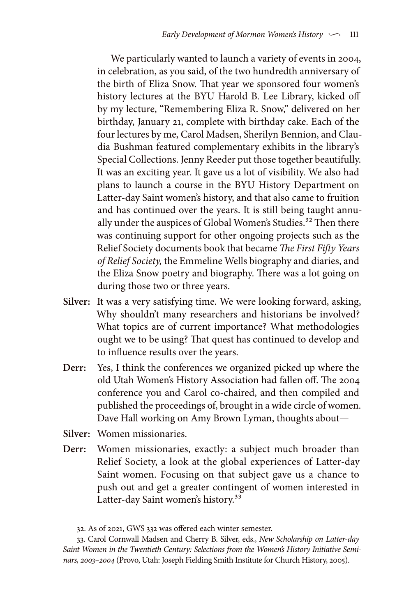We particularly wanted to launch a variety of events in 2004, in celebration, as you said, of the two hundredth anniversary of the birth of Eliza Snow. That year we sponsored four women's history lectures at the BYU Harold B. Lee Library, kicked off by my lecture, "Remembering Eliza R. Snow," delivered on her birthday, January 21, complete with birthday cake. Each of the four lectures by me, Carol Madsen, Sherilyn Bennion, and Claudia Bushman featured complementary exhibits in the library's Special Collections. Jenny Reeder put those together beautifully. It was an exciting year. It gave us a lot of visibility. We also had plans to launch a course in the BYU History Department on Latter-day Saint women's history, and that also came to fruition and has continued over the years. It is still being taught annually under the auspices of Global Women's Studies.<sup>32</sup> Then there was continuing support for other ongoing projects such as the Relief Society documents book that became *The First Fifty Years of Relief Society,* the Emmeline Wells biography and diaries, and the Eliza Snow poetry and biography. There was a lot going on during those two or three years.

- **Silver:** It was a very satisfying time. We were looking forward, asking, Why shouldn't many researchers and historians be involved? What topics are of current importance? What methodologies ought we to be using? That quest has continued to develop and to influence results over the years.
- **Derr:** Yes, I think the conferences we organized picked up where the old Utah Women's History Association had fallen off. The 2004 conference you and Carol co-chaired, and then compiled and published the proceedings of, brought in a wide circle of women. Dave Hall working on Amy Brown Lyman, thoughts about—
- **Silver:** Women missionaries.
- **Derr:** Women missionaries, exactly: a subject much broader than Relief Society, a look at the global experiences of Latter-day Saint women. Focusing on that subject gave us a chance to push out and get a greater contingent of women interested in Latter-day Saint women's history.<sup>33</sup>

<sup>32.</sup> As of 2021, GWS 332 was offered each winter semester.

<sup>33.</sup> Carol Cornwall Madsen and Cherry B. Silver, eds., *New Scholarship on Latter-day Saint Women in the Twentieth Century: Selections from the Women's History Initiative Seminars, 2003–2004* (Provo, Utah: Joseph Fielding Smith Institute for Church History, 2005).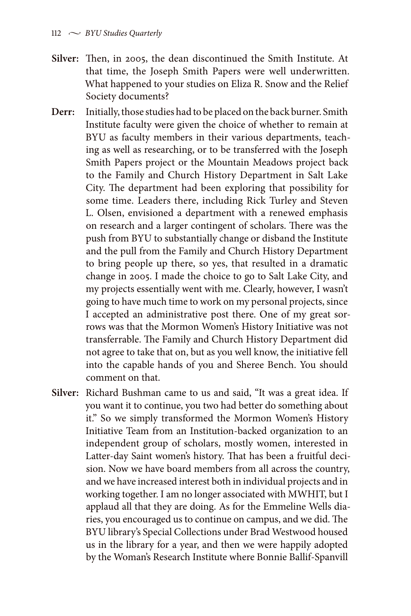- **Silver:** Then, in 2005, the dean discontinued the Smith Institute. At that time, the Joseph Smith Papers were well underwritten. What happened to your studies on Eliza R. Snow and the Relief Society documents?
- **Derr:** Initially, those studies had to be placed on the back burner. Smith Institute faculty were given the choice of whether to remain at BYU as faculty members in their various departments, teaching as well as researching, or to be transferred with the Joseph Smith Papers project or the Mountain Meadows project back to the Family and Church History Department in Salt Lake City. The department had been exploring that possibility for some time. Leaders there, including Rick Turley and Steven L. Olsen, envisioned a department with a renewed emphasis on research and a larger contingent of scholars. There was the push from BYU to substantially change or disband the Institute and the pull from the Family and Church History Department to bring people up there, so yes, that resulted in a dramatic change in 2005. I made the choice to go to Salt Lake City, and my projects essentially went with me. Clearly, however, I wasn't going to have much time to work on my personal projects, since I accepted an administrative post there. One of my great sorrows was that the Mormon Women's History Initiative was not transferrable. The Family and Church History Department did not agree to take that on, but as you well know, the initiative fell into the capable hands of you and Sheree Bench. You should comment on that.
- **Silver:** Richard Bushman came to us and said, "It was a great idea. If you want it to continue, you two had better do something about it." So we simply transformed the Mormon Women's History Initiative Team from an Institution-backed organization to an independent group of scholars, mostly women, interested in Latter-day Saint women's history. That has been a fruitful decision. Now we have board members from all across the country, and we have increased interest both in individual projects and in working together. I am no longer associated with MWHIT, but I applaud all that they are doing. As for the Emmeline Wells diaries, you encouraged us to continue on campus, and we did. The BYU library's Special Collections under Brad Westwood housed us in the library for a year, and then we were happily adopted by the Woman's Research Institute where Bonnie Ballif-Spanvill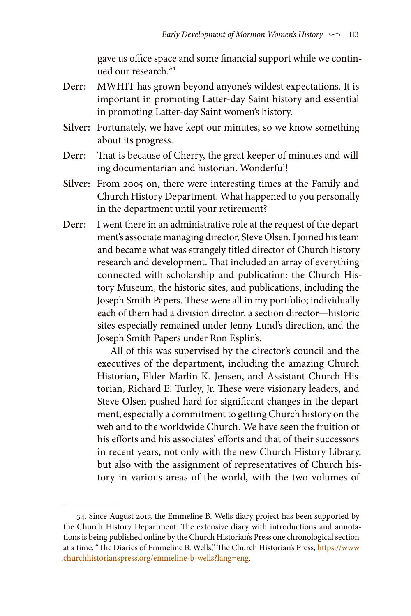gave us office space and some financial support while we continued our research.<sup>34</sup>

- **Derr:** MWHIT has grown beyond anyone's wildest expectations. It is important in promoting Latter-day Saint history and essential in promoting Latter-day Saint women's history.
- **Silver:** Fortunately, we have kept our minutes, so we know something about its progress.
- **Derr:** That is because of Cherry, the great keeper of minutes and willing documentarian and historian. Wonderful!
- **Silver:** From 2005 on, there were interesting times at the Family and Church History Department. What happened to you personally in the department until your retirement?
- **Derr:** I went there in an administrative role at the request of the department's associate managing director, Steve Olsen. I joined his team and became what was strangely titled director of Church history research and development. That included an array of everything connected with scholarship and publication: the Church History Museum, the historic sites, and publications, including the Joseph Smith Papers. These were all in my portfolio; individually each of them had a division director, a section director—historic sites especially remained under Jenny Lund's direction, and the Joseph Smith Papers under Ron Esplin's.

All of this was supervised by the director's council and the executives of the department, including the amazing Church Historian, Elder Marlin K. Jensen, and Assistant Church Historian, Richard E. Turley, Jr. These were visionary leaders, and Steve Olsen pushed hard for significant changes in the department, especially a commitment to getting Church history on the web and to the worldwide Church. We have seen the fruition of his efforts and his associates' efforts and that of their successors in recent years, not only with the new Church History Library, but also with the assignment of representatives of Church history in various areas of the world, with the two volumes of

<sup>34.</sup> Since August 2017, the Emmeline B. Wells diary project has been supported by the Church History Department. The extensive diary with introductions and annotations is being published online by the Church Historian's Press one chronological section at a time. "The Diaries of Emmeline B. Wells," The Church Historian's Press, [https://www](https://www.churchhistorianspress.org/emmeline-b-wells?lang=eng) [.churchhistorianspress.org/emmeline-b-wells?lang=eng](https://www.churchhistorianspress.org/emmeline-b-wells?lang=eng).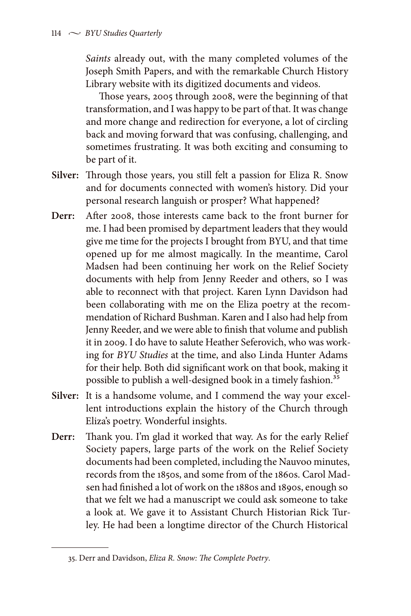*Saints* already out, with the many completed volumes of the Joseph Smith Papers, and with the remarkable Church History Library website with its digitized documents and videos.

Those years, 2005 through 2008, were the beginning of that transformation, and I was happy to be part of that. It was change and more change and redirection for everyone, a lot of circling back and moving forward that was confusing, challenging, and sometimes frustrating. It was both exciting and consuming to be part of it.

- **Silver:** Through those years, you still felt a passion for Eliza R. Snow and for documents connected with women's history. Did your personal research languish or prosper? What happened?
- **Derr:** After 2008, those interests came back to the front burner for me. I had been promised by department leaders that they would give me time for the projects I brought from BYU, and that time opened up for me almost magically. In the meantime, Carol Madsen had been continuing her work on the Relief Society documents with help from Jenny Reeder and others, so I was able to reconnect with that project. Karen Lynn Davidson had been collaborating with me on the Eliza poetry at the recommendation of Richard Bushman. Karen and I also had help from Jenny Reeder, and we were able to finish that volume and publish it in 2009. I do have to salute Heather Seferovich, who was working for *BYU Studies* at the time, and also Linda Hunter Adams for their help. Both did significant work on that book, making it possible to publish a well-designed book in a timely fashion.<sup>35</sup>
- **Silver:** It is a handsome volume, and I commend the way your excellent introductions explain the history of the Church through Eliza's poetry. Wonderful insights.
- **Derr:** Thank you. I'm glad it worked that way. As for the early Relief Society papers, large parts of the work on the Relief Society documents had been completed, including the Nauvoo minutes, records from the 1850s, and some from of the 1860s. Carol Madsen had finished a lot of work on the 1880s and 1890s, enough so that we felt we had a manuscript we could ask someone to take a look at. We gave it to Assistant Church Historian Rick Turley. He had been a longtime director of the Church Historical

<sup>35.</sup> Derr and Davidson, *Eliza R. Snow: The Complete Poetry*.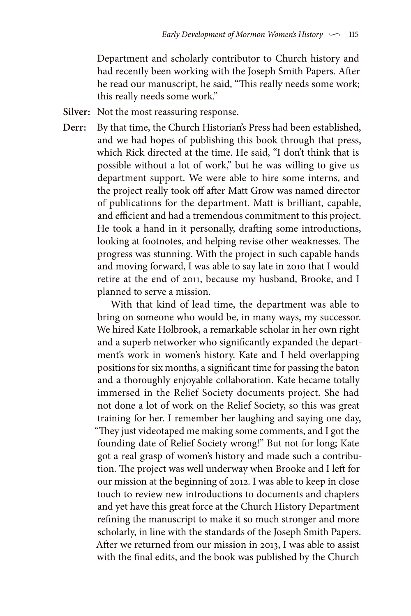Department and scholarly contributor to Church history and had recently been working with the Joseph Smith Papers. After he read our manuscript, he said, "This really needs some work; this really needs some work."

- **Silver:** Not the most reassuring response.
- **Derr:** By that time, the Church Historian's Press had been established, and we had hopes of publishing this book through that press, which Rick directed at the time. He said, "I don't think that is possible without a lot of work," but he was willing to give us department support. We were able to hire some interns, and the project really took off after Matt Grow was named director of publications for the department. Matt is brilliant, capable, and efficient and had a tremendous commitment to this project. He took a hand in it personally, drafting some introductions, looking at footnotes, and helping revise other weaknesses. The progress was stunning. With the project in such capable hands and moving forward, I was able to say late in 2010 that I would retire at the end of 2011, because my husband, Brooke, and I planned to serve a mission.

With that kind of lead time, the department was able to bring on someone who would be, in many ways, my successor. We hired Kate Holbrook, a remarkable scholar in her own right and a superb networker who significantly expanded the department's work in women's history. Kate and I held overlapping positions for six months, a significant time for passing the baton and a thoroughly enjoyable collaboration. Kate became totally immersed in the Relief Society documents project. She had not done a lot of work on the Relief Society, so this was great training for her. I remember her laughing and saying one day, "They just videotaped me making some comments, and I got the founding date of Relief Society wrong!" But not for long; Kate got a real grasp of women's history and made such a contribution. The project was well underway when Brooke and I left for our mission at the beginning of 2012. I was able to keep in close touch to review new introductions to documents and chapters and yet have this great force at the Church History Department refining the manuscript to make it so much stronger and more scholarly, in line with the standards of the Joseph Smith Papers. After we returned from our mission in 2013, I was able to assist with the final edits, and the book was published by the Church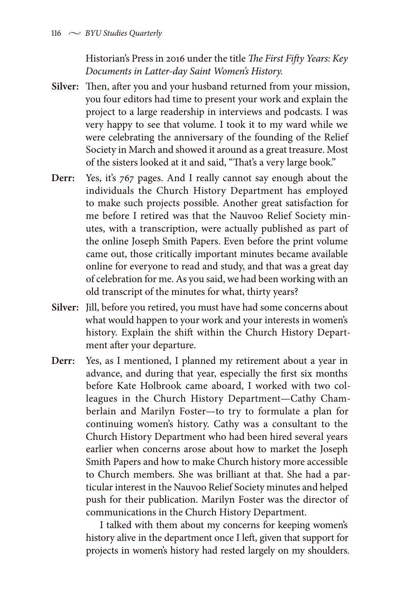Historian's Press in 2016 under the title *The First Fifty Years: Key Documents in Latter-day Saint Women's History.*

- **Silver:** Then, after you and your husband returned from your mission, you four editors had time to present your work and explain the project to a large readership in interviews and podcasts. I was very happy to see that volume. I took it to my ward while we were celebrating the anniversary of the founding of the Relief Society in March and showed it around as a great treasure. Most of the sisters looked at it and said, "That's a very large book."
- **Derr:** Yes, it's 767 pages. And I really cannot say enough about the individuals the Church History Department has employed to make such projects possible. Another great satisfaction for me before I retired was that the Nauvoo Relief Society minutes, with a transcription, were actually published as part of the online Joseph Smith Papers. Even before the print volume came out, those critically important minutes became available online for everyone to read and study, and that was a great day of celebration for me. As you said, we had been working with an old transcript of the minutes for what, thirty years?
- **Silver:** Jill, before you retired, you must have had some concerns about what would happen to your work and your interests in women's history. Explain the shift within the Church History Department after your departure.
- **Derr:** Yes, as I mentioned, I planned my retirement about a year in advance, and during that year, especially the first six months before Kate Holbrook came aboard, I worked with two colleagues in the Church History Department—Cathy Chamberlain and Marilyn Foster—to try to formulate a plan for continuing women's history. Cathy was a consultant to the Church History Department who had been hired several years earlier when concerns arose about how to market the Joseph Smith Papers and how to make Church history more accessible to Church members. She was brilliant at that. She had a particular interest in the Nauvoo Relief Society minutes and helped push for their publication. Marilyn Foster was the director of communications in the Church History Department.

I talked with them about my concerns for keeping women's history alive in the department once I left, given that support for projects in women's history had rested largely on my shoulders.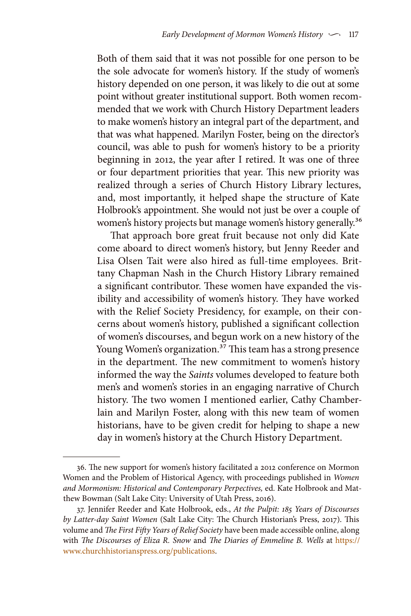Both of them said that it was not possible for one person to be the sole advocate for women's history. If the study of women's history depended on one person, it was likely to die out at some point without greater institutional support. Both women recommended that we work with Church History Department leaders to make women's history an integral part of the department, and that was what happened. Marilyn Foster, being on the director's council, was able to push for women's history to be a priority beginning in 2012, the year after I retired. It was one of three or four department priorities that year. This new priority was realized through a series of Church History Library lectures, and, most importantly, it helped shape the structure of Kate Holbrook's appointment. She would not just be over a couple of women's history projects but manage women's history generally.<sup>36</sup>

That approach bore great fruit because not only did Kate come aboard to direct women's history, but Jenny Reeder and Lisa Olsen Tait were also hired as full-time employees. Brittany Chapman Nash in the Church History Library remained a significant contributor. These women have expanded the visibility and accessibility of women's history. They have worked with the Relief Society Presidency, for example, on their concerns about women's history, published a significant collection of women's discourses, and begun work on a new history of the Young Women's organization.<sup>37</sup> This team has a strong presence in the department. The new commitment to women's history informed the way the *Saints* volumes developed to feature both men's and women's stories in an engaging narrative of Church history. The two women I mentioned earlier, Cathy Chamberlain and Marilyn Foster, along with this new team of women historians, have to be given credit for helping to shape a new day in women's history at the Church History Department.

<sup>36.</sup> The new support for women's history facilitated a 2012 conference on Mormon Women and the Problem of Historical Agency, with proceedings published in *Women and Mormonism: Historical and Contemporary Perpectives,* ed. Kate Holbrook and Matthew Bowman (Salt Lake City: University of Utah Press, 2016).

<sup>37.</sup> Jennifer Reeder and Kate Holbrook, eds., *At the Pulpit: 185 Years of Discourses by Latter-day Saint Women* (Salt Lake City: The Church Historian's Press, 2017). This volume and *The First Fifty Years of Relief Society* have been made accessible online, along with *The Discourses of Eliza R. Snow* and *The Diaries of Emmeline B. Wells* at [https://](https://www.churchhistorianspress.org/publications) [www.churchhistorianspress.org/publications.](https://www.churchhistorianspress.org/publications)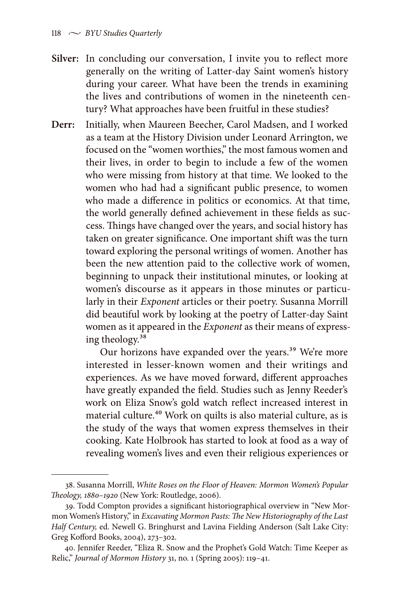- **Silver:** In concluding our conversation, I invite you to reflect more generally on the writing of Latter-day Saint women's history during your career. What have been the trends in examining the lives and contributions of women in the nineteenth century? What approaches have been fruitful in these studies?
- **Derr:** Initially, when Maureen Beecher, Carol Madsen, and I worked as a team at the History Division under Leonard Arrington, we focused on the "women worthies," the most famous women and their lives, in order to begin to include a few of the women who were missing from history at that time. We looked to the women who had had a significant public presence, to women who made a difference in politics or economics. At that time, the world generally defined achievement in these fields as success. Things have changed over the years, and social history has taken on greater significance. One important shift was the turn toward exploring the personal writings of women. Another has been the new attention paid to the collective work of women, beginning to unpack their institutional minutes, or looking at women's discourse as it appears in those minutes or particularly in their *Exponent* articles or their poetry. Susanna Morrill did beautiful work by looking at the poetry of Latter-day Saint women as it appeared in the *Exponent* as their means of expressing theology.38

Our horizons have expanded over the years.<sup>39</sup> We're more interested in lesser-known women and their writings and experiences. As we have moved forward, different approaches have greatly expanded the field. Studies such as Jenny Reeder's work on Eliza Snow's gold watch reflect increased interest in material culture.<sup>40</sup> Work on quilts is also material culture, as is the study of the ways that women express themselves in their cooking. Kate Holbrook has started to look at food as a way of revealing women's lives and even their religious experiences or

<sup>38.</sup> Susanna Morrill, *White Roses on the Floor of Heaven: Mormon Women's Popular Theology, 1880–1920* (New York: Routledge, 2006).

<sup>39.</sup> Todd Compton provides a significant historiographical overview in "New Mormon Women's History," in *Excavating Mormon Pasts: The New Historiography of the Last Half Century,* ed. Newell G. Bringhurst and Lavina Fielding Anderson (Salt Lake City: Greg Kofford Books, 2004), 273–302.

<sup>40.</sup> Jennifer Reeder, "Eliza R. Snow and the Prophet's Gold Watch: Time Keeper as Relic," *Journal of Mormon History* 31, no. 1 (Spring 2005): 119–41.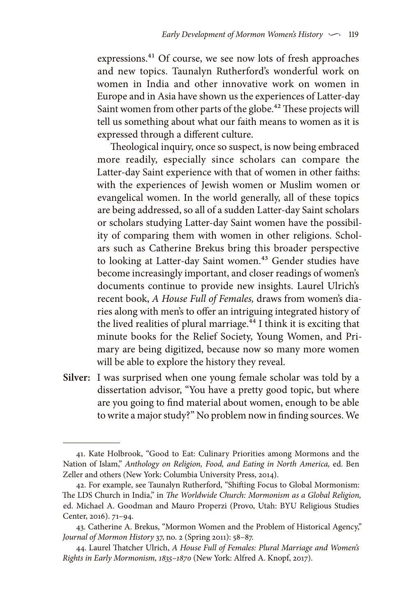expressions.41 Of course, we see now lots of fresh approaches and new topics. Taunalyn Rutherford's wonderful work on women in India and other innovative work on women in Europe and in Asia have shown us the experiences of Latter-day Saint women from other parts of the globe.<sup>42</sup> These projects will tell us something about what our faith means to women as it is expressed through a different culture.

Theological inquiry, once so suspect, is now being embraced more readily, especially since scholars can compare the Latter-day Saint experience with that of women in other faiths: with the experiences of Jewish women or Muslim women or evangelical women. In the world generally, all of these topics are being addressed, so all of a sudden Latter-day Saint scholars or scholars studying Latter-day Saint women have the possibility of comparing them with women in other religions. Scholars such as Catherine Brekus bring this broader perspective to looking at Latter-day Saint women.<sup>43</sup> Gender studies have become increasingly important, and closer readings of women's documents continue to provide new insights. Laurel Ulrich's recent book, *A House Full of Females,* draws from women's diaries along with men's to offer an intriguing integrated history of the lived realities of plural marriage.<sup>44</sup> I think it is exciting that minute books for the Relief Society, Young Women, and Primary are being digitized, because now so many more women will be able to explore the history they reveal.

**Silver:** I was surprised when one young female scholar was told by a dissertation advisor, "You have a pretty good topic, but where are you going to find material about women, enough to be able to write a major study?" No problem now in finding sources. We

<sup>41.</sup> Kate Holbrook, "Good to Eat: Culinary Priorities among Mormons and the Nation of Islam," *Anthology on Religion, Food, and Eating in North America,* ed. Ben Zeller and others (New York: Columbia University Press, 2014).

<sup>42.</sup> For example, see Taunalyn Rutherford, "Shifting Focus to Global Mormonism: The LDS Church in India," in *The Worldwide Church: Mormonism as a Global Religion,* ed. Michael A. Goodman and Mauro Properzi (Provo, Utah: BYU Religious Studies Center, 2016). 71–94.

<sup>43.</sup> Catherine A. Brekus, "Mormon Women and the Problem of Historical Agency," *Journal of Mormon History* 37, no. 2 (Spring 2011): 58–87.

<sup>44.</sup> Laurel Thatcher Ulrich, *A House Full of Females: Plural Marriage and Women's Rights in Early Mormonism, 1835–1870* (New York: Alfred A. Knopf, 2017).